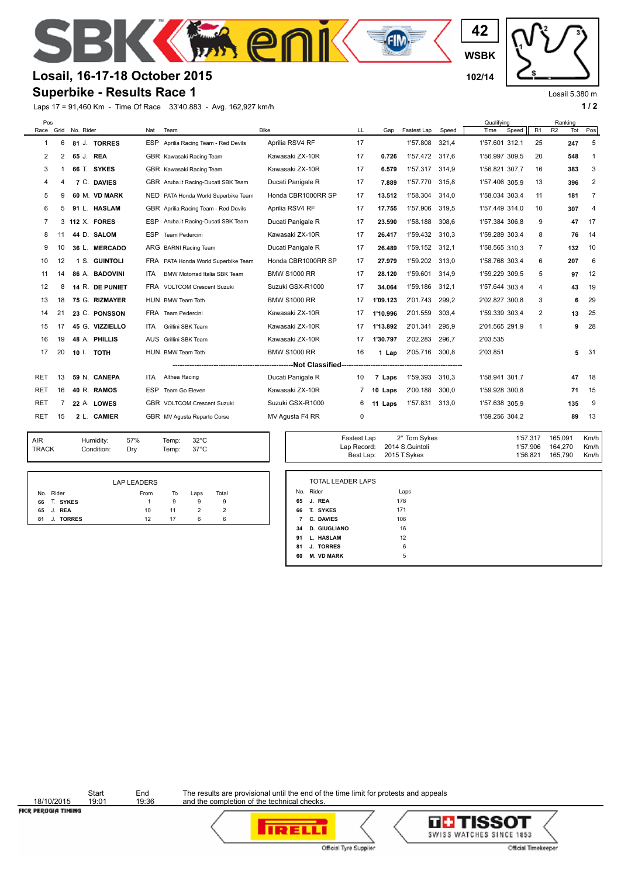

## **Losail, 16-17-18 October 2015 102/14**

## **Superbike - Results Race 1**

Laps 17 = 91,460 Km - Time Of Race 33'40.883 - Avg. 162,927 km/h **1 and 2** 1 **1 and 2** 1 **1 a 1 1 a 1 1 a 1 1 a 1 1 a 1 1 a 1 1 a 1 1 a 1 1 a 1 1 a 1 a 1 1 a 1 a 1 a 1 a 1 a 1 a 1 a 1 a** 



Losail 5.380 m

| Pos                                                            |    |                     |                 |            |                                      |                     |    |          |                |       | Qualifving     |       |                |                | Ranking |                |
|----------------------------------------------------------------|----|---------------------|-----------------|------------|--------------------------------------|---------------------|----|----------|----------------|-------|----------------|-------|----------------|----------------|---------|----------------|
|                                                                |    | Race Grid No. Rider |                 | Nat        | Team                                 | <b>Bike</b>         | LL | Gap      | Fastest Lap    | Speed | Time           | Speed | R <sub>1</sub> | R <sub>2</sub> | Tot     | Pos            |
| -1                                                             | 6  |                     | 81 J. TORRES    | ESP        | Aprilia Racing Team - Red Devils     | Aprilia RSV4 RF     | 17 |          | 1'57.808       | 321.4 | 1'57.601 312.1 |       | 25             |                | 247     | 5              |
| 2                                                              | 2  | 65 J.               | <b>REA</b>      |            | GBR Kawasaki Racing Team             | Kawasaki ZX-10R     | 17 | 0.726    | 1'57.472       | 317,6 | 1'56.997 309.5 |       | 20             |                | 548     | $\mathbf{1}$   |
| 3                                                              |    |                     | 66 T. SYKES     |            | GBR Kawasaki Racing Team             | Kawasaki ZX-10R     | 17 | 6.579    | 1'57.317       | 314.9 | 1'56.821 307.7 |       | 16             |                | 383     | 3              |
| 4                                                              | 4  |                     | 7 C. DAVIES     |            | GBR Aruba.it Racing-Ducati SBK Team  | Ducati Panigale R   | 17 | 7.889    | 1'57.770       | 315,8 | 1'57.406 305.9 |       | 13             |                | 396     | 2              |
| 5                                                              | 9  |                     | 60 M. VD MARK   |            | NED PATA Honda World Superbike Team  | Honda CBR1000RR SP  | 17 | 13.512   | 1'58.304       | 314,0 | 1'58.034 303.4 |       | 11             |                | 181     | $\overline{7}$ |
| 6                                                              | 5  |                     | 91 L. HASLAM    |            | GBR Aprilia Racing Team - Red Devils | Aprilia RSV4 RF     | 17 | 17.755   | 1'57.906       | 319.5 | 1'57.449 314,0 |       | 10             |                | 307     | 4              |
| 7                                                              |    |                     | 3 112 X. FORES  | ESP        | Aruba.it Racing-Ducati SBK Team      | Ducati Panigale R   | 17 | 23.590   | 1'58.188       | 308.6 | 1'57.384 306.8 |       | 9              |                | 47      | 17             |
| 8                                                              | 11 |                     | 44 D. SALOM     | ESP        | Team Pedercini                       | Kawasaki ZX-10R     | 17 | 26.417   | 1'59.432       | 310,3 | 1'59.289 303.4 |       | 8              |                | 76      | 14             |
| 9                                                              | 10 |                     | 36 L. MERCADO   |            | ARG BARNI Racing Team                | Ducati Panigale R   | 17 | 26.489   | 1'59.152 312.1 |       | 1'58.565 310.3 |       | 7              |                | 132     | 10             |
| 10                                                             | 12 |                     | 1 S. GUINTOLI   |            | FRA PATA Honda World Superbike Team  | Honda CBR1000RR SP  | 17 | 27.979   | 1'59.202 313,0 |       | 1'58.768 303.4 |       | 6              |                | 207     | 6              |
| 11                                                             | 14 |                     | 86 A. BADOVINI  | <b>ITA</b> | BMW Motorrad Italia SBK Team         | <b>BMW S1000 RR</b> | 17 | 28.120   | 1'59.601       | 314.9 | 1'59.229 309,5 |       | 5              |                | 97      | 12             |
| 12                                                             | 8  |                     | 14 R. DE PUNIET |            | FRA VOLTCOM Crescent Suzuki          | Suzuki GSX-R1000    | 17 | 34.064   | 1'59.186       | 312.1 | 1'57.644 303.4 |       | 4              |                | 43      | 19             |
| 13                                                             | 18 |                     | 75 G. RIZMAYER  |            | HUN BMW Team Toth                    | <b>BMW S1000 RR</b> | 17 | 1'09.123 | 2'01.743       | 299,2 | 2'02.827 300,8 |       | 3              |                | 6       | 29             |
| 14                                                             | 21 |                     | 23 C. PONSSON   |            | FRA Team Pedercini                   | Kawasaki ZX-10R     | 17 | 1'10.996 | 2'01.559       | 303,4 | 1'59.339 303,4 |       | 2              |                | 13      | 25             |
| 15                                                             | 17 |                     | 45 G. VIZZIELLO | ITA.       | Grillini SBK Team                    | Kawasaki ZX-10R     | 17 | 1'13.892 | 2'01.341       | 295,9 | 2'01.565 291,9 |       |                |                | 9       | 28             |
| 16                                                             | 19 |                     | 48 A. PHILLIS   | <b>AUS</b> | Grillini SBK Team                    | Kawasaki ZX-10R     | 17 | 1'30.797 | 2'02.283       | 296.7 | 2'03.535       |       |                |                |         |                |
| 17                                                             | 20 | 10 I.               | <b>TOTH</b>     |            | HUN BMW Team Toth                    | <b>BMW S1000 RR</b> | 16 | 1 Lap    | 2'05.716       | 300.8 | 2'03.851       |       |                |                | 5       | 31             |
| ---Not Classified---<br>-------------------------------------- |    |                     |                 |            |                                      |                     |    |          |                |       |                |       |                |                |         |                |
| RET                                                            | 13 |                     | 59 N. CANEPA    | ITA.       | Althea Racing                        | Ducati Panigale R   | 10 | 7 Laps   | 1'59.393       | 310.3 | 1'58.941 301,7 |       |                |                | 47      | 18             |
| <b>RET</b>                                                     | 16 |                     | 40 R. RAMOS     | <b>ESP</b> | Team Go Eleven                       | Kawasaki ZX-10R     |    | 10 Laps  | 2'00.188       | 300.0 | 1'59.928 300,8 |       |                |                | 71      | 15             |
| <b>RET</b>                                                     |    |                     | 22 A. LOWES     |            | <b>GBR</b> VOLTCOM Crescent Suzuki   | Suzuki GSX-R1000    | 6  | 11 Laps  | 1'57.831       | 313.0 | 1'57.638 305.9 |       |                |                | 135     | 9              |
| <b>RET</b>                                                     | 15 |                     | 2 L. CAMIER     |            | GBR MV Agusta Reparto Corse          | MV Agusta F4 RR     | 0  |          |                |       | 1'59.256 304,2 |       |                |                | 89      | 13             |

| AIR<br><b>TRACK</b> | Humidity:<br>Condition: | 57%<br>Drv | Temp:<br>Temp: | $32^{\circ}$ C<br>$37^{\circ}$ C | Fastest Lap<br>Lap Record:<br>Best Lap: | 2° Tom Sykes<br>2014 S.Guintoli<br>2015 T.Sykes | 1'57.317<br>1'57.906<br>1'56.821 | 165,091<br>164,270<br>165,790 |
|---------------------|-------------------------|------------|----------------|----------------------------------|-----------------------------------------|-------------------------------------------------|----------------------------------|-------------------------------|
|                     |                         |            |                |                                  |                                         |                                                 |                                  |                               |

|    |                          | Lap Record: 2014 S.Guintoli<br>Best Lap: 2015 T.Sykes | 1'57.906<br>1'56.821 | 164.270<br>165,790 | Km/h<br>Km/h |
|----|--------------------------|-------------------------------------------------------|----------------------|--------------------|--------------|
|    |                          |                                                       |                      |                    |              |
|    | <b>TOTAL LEADER LAPS</b> |                                                       |                      |                    |              |
|    | No. Rider                | Laps                                                  |                      |                    |              |
| 65 | J. REA                   | 178                                                   |                      |                    |              |
| 66 | T. SYKES                 | 171                                                   |                      |                    |              |
| 7  | C. DAVIES                | 106                                                   |                      |                    |              |
| 34 | <b>D. GIUGLIANO</b>      | 16                                                    |                      |                    |              |
| 91 | L. HASLAM                | 12                                                    |                      |                    |              |
| 81 | J. TORRES                | 6                                                     |                      |                    |              |
| 60 | <b>M. VD MARK</b>        | 5                                                     |                      |                    |              |

Fastest Lap 2° Tom Sykes 1'57.317 165,091 Km/h

|              | <b>LAP LEADERS</b> |    |      |       |
|--------------|--------------------|----|------|-------|
| No. Rider    | From               | To | Laps | Total |
| 66 T. SYKES  |                    | 9  | 9    | 9     |
| 65 J. REA    | 10                 | 11 |      |       |
| 81 J. TORRES | 12                 | 17 | 6    | 6     |

18/10/2015<br>FICR PERUGIA TIMING

Start End<br>19:01 19:36

The results are provisional until the end of the time limit for protests and appeals and the completion of the technical checks.